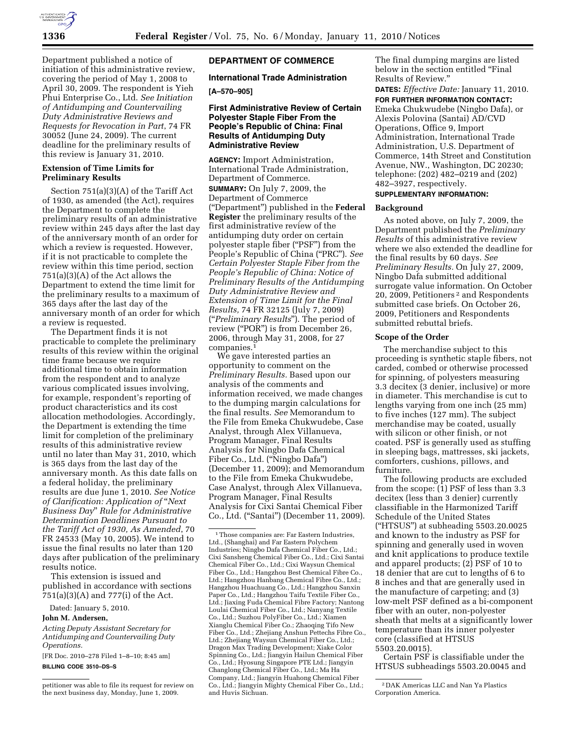

Department published a notice of initiation of this administrative review, covering the period of May 1, 2008 to April 30, 2009. The respondent is Yieh Phui Enterprise Co., Ltd. *See Initiation of Antidumping and Countervailing Duty Administrative Reviews and Requests for Revocation in Part*, 74 FR 30052 (June 24, 2009). The current deadline for the preliminary results of this review is January 31, 2010.

#### **Extension of Time Limits for Preliminary Results**

Section 751(a)(3)(A) of the Tariff Act of 1930, as amended (the Act), requires the Department to complete the preliminary results of an administrative review within 245 days after the last day of the anniversary month of an order for which a review is requested. However, if it is not practicable to complete the review within this time period, section 751(a)(3)(A) of the Act allows the Department to extend the time limit for the preliminary results to a maximum of 365 days after the last day of the anniversary month of an order for which a review is requested.

The Department finds it is not practicable to complete the preliminary results of this review within the original time frame because we require additional time to obtain information from the respondent and to analyze various complicated issues involving, for example, respondent's reporting of product characteristics and its cost allocation methodologies. Accordingly, the Department is extending the time limit for completion of the preliminary results of this administrative review until no later than May 31, 2010, which is 365 days from the last day of the anniversary month. As this date falls on a federal holiday, the preliminary results are due June 1, 2010. *See Notice of Clarification: Application of* ''*Next Business Day*'' *Rule for Administrative Determination Deadlines Pursuant to the Tariff Act of 1930, As Amended*, 70 FR 24533 (May 10, 2005). We intend to issue the final results no later than 120 days after publication of the preliminary results notice.

This extension is issued and published in accordance with sections 751(a)(3)(A) and 777(i) of the Act.

Dated: January 5, 2010.

#### **John M. Andersen,**

*Acting Deputy Assistant Secretary for Antidumping and Countervailing Duty Operations.* 

[FR Doc. 2010–278 Filed 1–8–10; 8:45 am] **BILLING CODE 3510–DS–S** 

# **DEPARTMENT OF COMMERCE**

# **International Trade Administration**

## **[A–570–905]**

#### **First Administrative Review of Certain Polyester Staple Fiber From the People's Republic of China: Final Results of Antidumping Duty Administrative Review**

**AGENCY:** Import Administration, International Trade Administration, Department of Commerce.

**SUMMARY:** On July 7, 2009, the Department of Commerce (''Department'') published in the **Federal Register** the preliminary results of the first administrative review of the antidumping duty order on certain polyester staple fiber ("PSF") from the People's Republic of China (''PRC''). *See Certain Polyester Staple Fiber from the People's Republic of China: Notice of Preliminary Results of the Antidumping Duty Administrative Review and Extension of Time Limit for the Final Results,* 74 FR 32125 (July 7, 2009) (''*Preliminary Results*''). The period of review ("POR") is from December 26, 2006, through May 31, 2008, for 27 companies.1

We gave interested parties an opportunity to comment on the *Preliminary Results.* Based upon our analysis of the comments and information received, we made changes to the dumping margin calculations for the final results. *See* Memorandum to the File from Emeka Chukwudebe, Case Analyst, through Alex Villanueva, Program Manager, Final Results Analysis for Ningbo Dafa Chemical Fiber Co., Ltd. (''Ningbo Dafa'') (December 11, 2009); and Memorandum to the File from Emeka Chukwudebe, Case Analyst, through Alex Villanueva, Program Manager, Final Results Analysis for Cixi Santai Chemical Fiber Co., Ltd. (''Santai'') (December 11, 2009). The final dumping margins are listed below in the section entitled "Final Results of Review.''

**DATES:** *Effective Date:* January 11, 2010. **FOR FURTHER INFORMATION CONTACT:**  Emeka Chukwudebe (Ningbo Dafa), or Alexis Polovina (Santai) AD/CVD Operations, Office 9, Import Administration, International Trade Administration, U.S. Department of Commerce, 14th Street and Constitution Avenue, NW., Washington, DC 20230; telephone: (202) 482–0219 and (202) 482–3927, respectively.

#### **SUPPLEMENTARY INFORMATION:**

#### **Background**

As noted above, on July 7, 2009, the Department published the *Preliminary Results* of this administrative review where we also extended the deadline for the final results by 60 days. *See Preliminary Results.* On July 27, 2009, Ningbo Dafa submitted additional surrogate value information. On October 20, 2009, Petitioners 2 and Respondents submitted case briefs. On October 26, 2009, Petitioners and Respondents submitted rebuttal briefs.

#### **Scope of the Order**

The merchandise subject to this proceeding is synthetic staple fibers, not carded, combed or otherwise processed for spinning, of polyesters measuring 3.3 decitex (3 denier, inclusive) or more in diameter. This merchandise is cut to lengths varying from one inch (25 mm) to five inches (127 mm). The subject merchandise may be coated, usually with silicon or other finish, or not coated. PSF is generally used as stuffing in sleeping bags, mattresses, ski jackets, comforters, cushions, pillows, and furniture.

The following products are excluded from the scope: (1) PSF of less than 3.3 decitex (less than 3 denier) currently classifiable in the Harmonized Tariff Schedule of the United States (''HTSUS'') at subheading 5503.20.0025 and known to the industry as PSF for spinning and generally used in woven and knit applications to produce textile and apparel products; (2) PSF of 10 to 18 denier that are cut to lengths of 6 to 8 inches and that are generally used in the manufacture of carpeting; and (3) low-melt PSF defined as a bi-component fiber with an outer, non-polyester sheath that melts at a significantly lower temperature than its inner polyester core (classified at HTSUS 5503.20.0015).

Certain PSF is classifiable under the HTSUS subheadings 5503.20.0045 and

petitioner was able to file its request for review on the next business day, Monday, June 1, 2009.

<sup>1</sup>Those companies are: Far Eastern Industries, Ltd., (Shanghai) and Far Eastern Polychem Industries; Ningbo Dafa Chemical Fiber Co., Ltd.; Cixi Sansheng Chemical Fiber Co., Ltd.; Cixi Santai Chemical Fiber Co., Ltd.; Cixi Waysun Chemical Fiber Co., Ltd.; Hangzhou Best Chemical Fibre Co., Ltd.; Hangzhou Hanbang Chemical Fibre Co., Ltd.; Hangzhou Huachuang Co., Ltd.; Hangzhou Sanxin Paper Co., Ltd.; Hangzhou Taifu Textile Fiber Co., Ltd.; Jiaxing Fuda Chemical Fibre Factory; Nantong Loulai Chemical Fiber Co., Ltd.; Nanyang Textile Co., Ltd.; Suzhou PolyFiber Co., Ltd.; Xiamen Xianglu Chemical Fiber Co.; Zhaoqing Tifo New Fiber Co., Ltd.; Zhejiang Anshun Pettechs Fibre Co., Ltd.; Zhejiang Waysun Chemical Fiber Co., Ltd.; Dragon Max Trading Development; Xiake Color Spinning Co., Ltd.; Jiangyin Hailun Chemical Fiber Co., Ltd.; Hyosung Singapore PTE Ltd.; Jiangyin Changlong Chemical Fiber Co., Ltd.; Ma Ha Company, Ltd.; Jiangyin Huahong Chemical Fiber Co., Ltd.; Jiangyin Mighty Chemical Fiber Co., Ltd.; and Huvis Sichuan.

<sup>2</sup> DAK Americas LLC and Nan Ya Plastics Corporation America.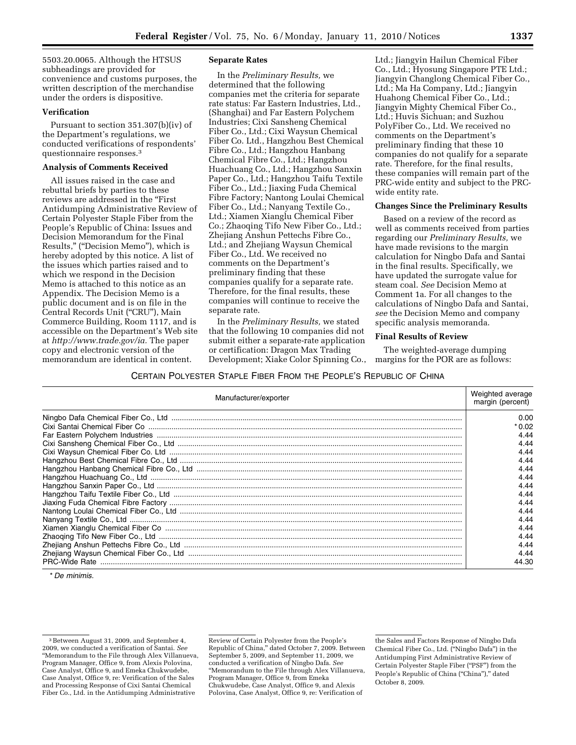5503.20.0065. Although the HTSUS subheadings are provided for convenience and customs purposes, the written description of the merchandise under the orders is dispositive.

# **Verification**

Pursuant to section 351.307(b)(iv) of the Department's regulations, we conducted verifications of respondents' questionnaire responses.3

#### **Analysis of Comments Received**

All issues raised in the case and rebuttal briefs by parties to these reviews are addressed in the "First" Antidumping Administrative Review of Certain Polyester Staple Fiber from the People's Republic of China: Issues and Decision Memorandum for the Final Results,'' (''Decision Memo''), which is hereby adopted by this notice. A list of the issues which parties raised and to which we respond in the Decision Memo is attached to this notice as an Appendix. The Decision Memo is a public document and is on file in the Central Records Unit (''CRU''), Main Commerce Building, Room 1117, and is accessible on the Department's Web site at *http://www.trade.gov/ia.* The paper copy and electronic version of the memorandum are identical in content.

#### **Separate Rates**

In the *Preliminary Results,* we determined that the following companies met the criteria for separate rate status: Far Eastern Industries, Ltd., (Shanghai) and Far Eastern Polychem Industries; Cixi Sansheng Chemical Fiber Co., Ltd.; Cixi Waysun Chemical Fiber Co. Ltd., Hangzhou Best Chemical Fibre Co., Ltd.; Hangzhou Hanbang Chemical Fibre Co., Ltd.; Hangzhou Huachuang Co., Ltd.; Hangzhou Sanxin Paper Co., Ltd.; Hangzhou Taifu Textile Fiber Co., Ltd.; Jiaxing Fuda Chemical Fibre Factory; Nantong Loulai Chemical Fiber Co., Ltd.; Nanyang Textile Co., Ltd.; Xiamen Xianglu Chemical Fiber Co.; Zhaoqing Tifo New Fiber Co., Ltd.; Zhejiang Anshun Pettechs Fibre Co., Ltd.; and Zhejiang Waysun Chemical Fiber Co., Ltd. We received no comments on the Department's preliminary finding that these companies qualify for a separate rate. Therefore, for the final results, these companies will continue to receive the separate rate.

In the *Preliminary Results,* we stated that the following 10 companies did not submit either a separate-rate application or certification: Dragon Max Trading Development; Xiake Color Spinning Co., Ltd.; Jiangyin Hailun Chemical Fiber Co., Ltd.; Hyosung Singapore PTE Ltd.; Jiangyin Changlong Chemical Fiber Co., Ltd.; Ma Ha Company, Ltd.; Jiangyin Huahong Chemical Fiber Co., Ltd.; Jiangyin Mighty Chemical Fiber Co., Ltd.; Huvis Sichuan; and Suzhou PolyFiber Co., Ltd. We received no comments on the Department's preliminary finding that these 10 companies do not qualify for a separate rate. Therefore, for the final results, these companies will remain part of the PRC-wide entity and subject to the PRCwide entity rate.

#### **Changes Since the Preliminary Results**

Based on a review of the record as well as comments received from parties regarding our *Preliminary Results,* we have made revisions to the margin calculation for Ningbo Dafa and Santai in the final results. Specifically, we have updated the surrogate value for steam coal. *See* Decision Memo at Comment 1a. For all changes to the calculations of Ningbo Dafa and Santai, *see* the Decision Memo and company specific analysis memoranda.

#### **Final Results of Review**

The weighted-average dumping margins for the POR are as follows:

# CERTAIN POLYESTER STAPLE FIBER FROM THE PEOPLE'S REPUBLIC OF CHINA

| Manufacturer/exporter | Weighted average<br>margin (percent) |
|-----------------------|--------------------------------------|
|                       | 0.00                                 |
|                       | * 0.02                               |
|                       | 4.44                                 |
|                       | 4.44                                 |
|                       | 4.44                                 |
|                       | 4.44                                 |
|                       | 4.44                                 |
|                       | 4.44                                 |
|                       | 4.44                                 |
|                       | 4.44                                 |
|                       | 4.44                                 |
|                       | 4.44                                 |
|                       | 4.44                                 |
|                       | 4.44                                 |
|                       | 4.44                                 |
|                       | 4.44                                 |
|                       | 4.44                                 |
|                       | 44.30                                |

\* *De minimis.* 

Review of Certain Polyester from the People's Republic of China,'' dated October 7, 2009. Between September 5, 2009, and September 11, 2009, we conducted a verification of Ningbo Dafa. *See*  ''Memorandum to the File through Alex Villanueva, Program Manager, Office 9, from Emeka Chukwudebe, Case Analyst, Office 9, and Alexis Polovina, Case Analyst, Office 9, re: Verification of

<sup>3</sup>Between August 31, 2009, and September 4, 2009, we conducted a verification of Santai. *See*  ''Memorandum to the File through Alex Villanueva, Program Manager, Office 9, from Alexis Polovina, Case Analyst, Office 9, and Emeka Chukwudebe, Case Analyst, Office 9, re: Verification of the Sales and Processing Response of Cixi Santai Chemical Fiber Co., Ltd. in the Antidumping Administrative

the Sales and Factors Response of Ningbo Dafa Chemical Fiber Co., Ltd. (''Ningbo Dafa'') in the Antidumping First Administrative Review of Certain Polyester Staple Fiber (''PSF'') from the People's Republic of China ("China")," dated October 8, 2009.